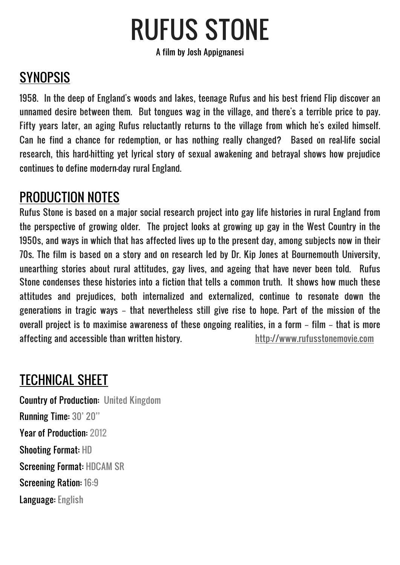# RUFUS STONE

A film by Josh Appignanesi

# **SYNOPSIS**

1958. In the deep of England's woods and lakes, teenage Rufus and his best friend Flip discover an unnamed desire between them. But tongues wag in the village, and there's a terrible price to pay. Fifty years later, an aging Rufus reluctantly returns to the village from which he's exiled himself. Can he find a chance for redemption, or has nothing really changed? Based on real-life social research, this hard-hitting yet lyrical story of sexual awakening and betrayal shows how prejudice continues to define modern-day rural England.

#### PRODUCTION NOTES

Rufus Stone is based on a major social research project into gay life histories in rural England from the perspective of growing older. The project looks at growing up gay in the West Country in the 1950s, and ways in which that has affected lives up to the present day, among subjects now in their 70s. The film is based on a story and on research led by Dr. Kip Jones at Bournemouth University, unearthing stories about rural attitudes, gay lives, and ageing that have never been told. Rufus Stone condenses these histories into a fiction that tells a common truth. It shows how much these attitudes and prejudices, both internalized and externalized, continue to resonate down the generations in tragic ways – that nevertheless still give rise to hope. Part of the mission of the overall project is to maximise awareness of these ongoing realities, in a form – film – that is more affecting and accessible than written history. <http://www.rufusstonemovie.com>

#### TECHNICAL SHEET

Country of Production: United Kingdom Running Time: 30' 20'' Year of Production: 2012 Shooting Format: HD Screening Format: HDCAM SR Screening Ration: 16:9 Language: English